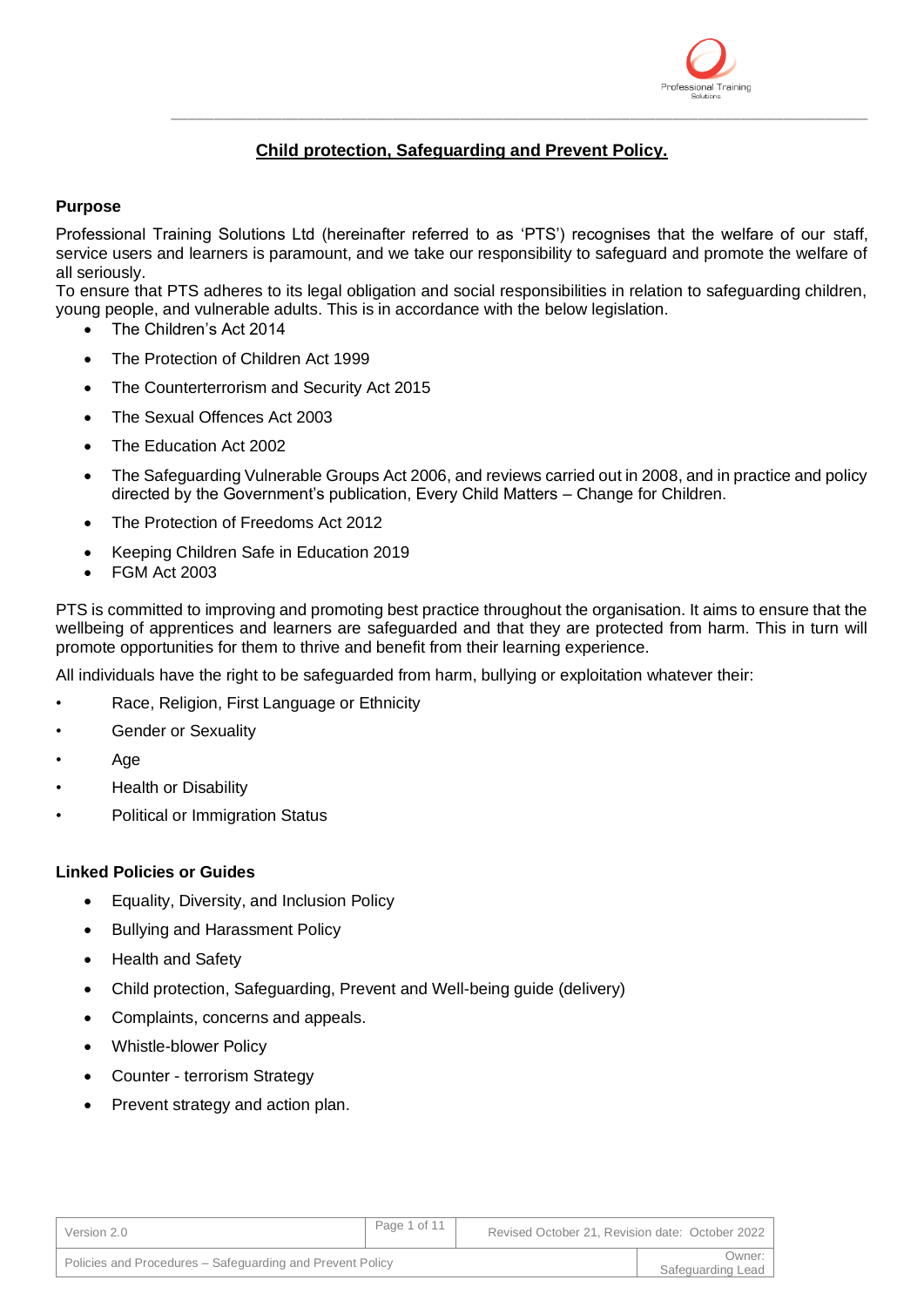

# **Child protection, Safeguarding and Prevent Policy.**

\_\_\_\_\_\_\_\_\_\_\_\_\_\_\_\_\_\_\_\_\_\_\_\_\_\_\_\_\_\_\_\_\_\_\_\_\_\_\_\_\_\_\_\_\_\_\_\_\_\_\_\_\_\_\_\_\_\_\_\_\_\_\_\_\_\_\_\_\_\_\_\_\_\_\_\_\_\_\_\_\_\_

## **Purpose**

Professional Training Solutions Ltd (hereinafter referred to as 'PTS') recognises that the welfare of our staff, service users and learners is paramount, and we take our responsibility to safeguard and promote the welfare of all seriously.

To ensure that PTS adheres to its legal obligation and social responsibilities in relation to safeguarding children, young people, and vulnerable adults. This is in accordance with the below legislation.

- The Children's Act 2014
- The Protection of Children Act 1999
- The Counterterrorism and Security Act 2015
- The Sexual Offences Act 2003
- The Education Act 2002
- The Safeguarding Vulnerable Groups Act 2006, and reviews carried out in 2008, and in practice and policy directed by the Government's publication, Every Child Matters – Change for Children.
- The Protection of Freedoms Act 2012
- Keeping Children Safe in Education 2019
- FGM Act 2003

PTS is committed to improving and promoting best practice throughout the organisation. It aims to ensure that the wellbeing of apprentices and learners are safeguarded and that they are protected from harm. This in turn will promote opportunities for them to thrive and benefit from their learning experience.

All individuals have the right to be safeguarded from harm, bullying or exploitation whatever their:

- Race, Religion, First Language or Ethnicity
- Gender or Sexuality
- Age
- Health or Disability
- Political or Immigration Status

## **Linked Policies or Guides**

- Equality, Diversity, and Inclusion Policy
- Bullying and Harassment Policy
- Health and Safety
- Child protection, Safeguarding, Prevent and Well-being guide (delivery)
- Complaints, concerns and appeals.
- Whistle-blower Policy
- Counter terrorism Strategy
- Prevent strategy and action plan.

| Version 2.0                                               | Page 1 of 11 | Revised October 21, Revision date: October 2022 |                             |
|-----------------------------------------------------------|--------------|-------------------------------------------------|-----------------------------|
| Policies and Procedures – Safeguarding and Prevent Policy |              |                                                 | Owner:<br>Safeguarding Lead |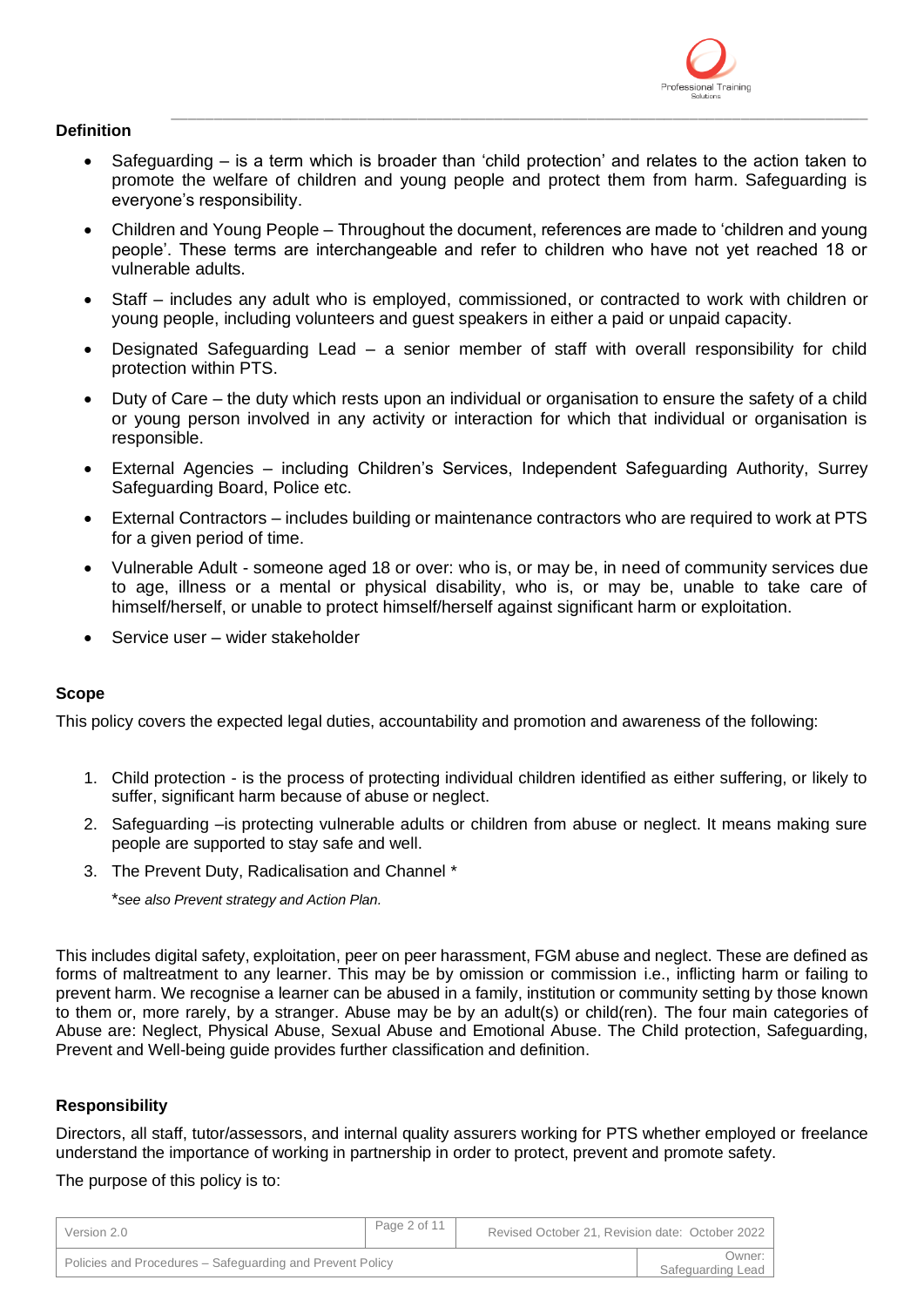

## **Definition**

• Safeguarding – is a term which is broader than 'child protection' and relates to the action taken to promote the welfare of children and young people and protect them from harm. Safeguarding is everyone's responsibility.

\_\_\_\_\_\_\_\_\_\_\_\_\_\_\_\_\_\_\_\_\_\_\_\_\_\_\_\_\_\_\_\_\_\_\_\_\_\_\_\_\_\_\_\_\_\_\_\_\_\_\_\_\_\_\_\_\_\_\_\_\_\_\_\_\_\_\_\_\_\_\_\_\_\_\_\_\_\_\_\_\_\_

- Children and Young People Throughout the document, references are made to 'children and young people'. These terms are interchangeable and refer to children who have not yet reached 18 or vulnerable adults.
- Staff includes any adult who is employed, commissioned, or contracted to work with children or young people, including volunteers and guest speakers in either a paid or unpaid capacity.
- Designated Safeguarding Lead a senior member of staff with overall responsibility for child protection within PTS.
- Duty of Care the duty which rests upon an individual or organisation to ensure the safety of a child or young person involved in any activity or interaction for which that individual or organisation is responsible.
- External Agencies including Children's Services, Independent Safeguarding Authority, Surrey Safeguarding Board, Police etc.
- External Contractors includes building or maintenance contractors who are required to work at PTS for a given period of time.
- Vulnerable Adult someone aged 18 or over: who is, or may be, in need of community services due to age, illness or a mental or physical disability, who is, or may be, unable to take care of himself/herself, or unable to protect himself/herself against significant harm or exploitation.
- Service user wider stakeholder

# **Scope**

This policy covers the expected legal duties, accountability and promotion and awareness of the following:

- 1. Child protection is the process of protecting individual children identified as either suffering, or likely to suffer, significant harm because of abuse or neglect.
- 2. Safeguarding –is protecting vulnerable adults or children from abuse or neglect. It means making sure people are supported to stay safe and well.
- 3. The Prevent Duty, Radicalisation and Channel \*

\**see also Prevent strategy and Action Plan.*

This includes digital safety, exploitation, peer on peer harassment, FGM abuse and neglect. These are defined as forms of maltreatment to any learner. This may be by omission or commission i.e., inflicting harm or failing to prevent harm. We recognise a learner can be abused in a family, institution or community setting by those known to them or, more rarely, by a stranger. Abuse may be by an adult(s) or child(ren). The four main categories of Abuse are: Neglect, Physical Abuse, Sexual Abuse and Emotional Abuse. The Child protection, Safeguarding, Prevent and Well-being guide provides further classification and definition.

## **Responsibility**

Directors, all staff, tutor/assessors, and internal quality assurers working for PTS whether employed or freelance understand the importance of working in partnership in order to protect, prevent and promote safety.

The purpose of this policy is to:

| Version 2.0                                               | Page 2 of 11 | Revised October 21, Revision date: October 2022 |                             |
|-----------------------------------------------------------|--------------|-------------------------------------------------|-----------------------------|
| Policies and Procedures – Safeguarding and Prevent Policy |              |                                                 | :Dwner<br>Safeguarding Lead |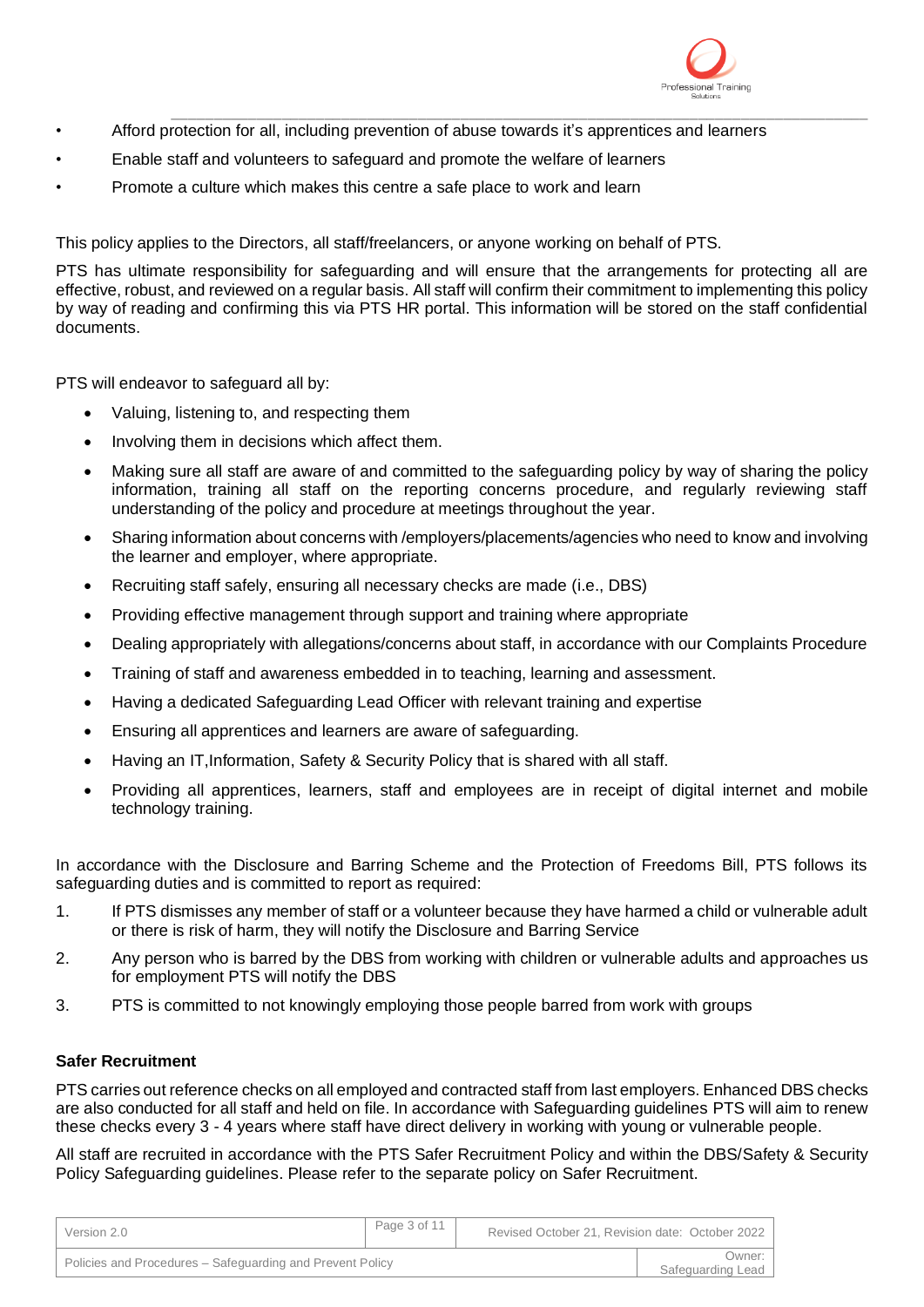

- \_\_\_\_\_\_\_\_\_\_\_\_\_\_\_\_\_\_\_\_\_\_\_\_\_\_\_\_\_\_\_\_\_\_\_\_\_\_\_\_\_\_\_\_\_\_\_\_\_\_\_\_\_\_\_\_\_\_\_\_\_\_\_\_\_\_\_\_\_\_\_\_\_\_\_\_\_\_\_\_\_\_ • Afford protection for all, including prevention of abuse towards it's apprentices and learners
- Enable staff and volunteers to safeguard and promote the welfare of learners
- Promote a culture which makes this centre a safe place to work and learn

This policy applies to the Directors, all staff/freelancers, or anyone working on behalf of PTS.

PTS has ultimate responsibility for safeguarding and will ensure that the arrangements for protecting all are effective, robust, and reviewed on a regular basis. All staff will confirm their commitment to implementing this policy by way of reading and confirming this via PTS HR portal. This information will be stored on the staff confidential documents.

PTS will endeavor to safeguard all by:

- Valuing, listening to, and respecting them
- Involving them in decisions which affect them.
- Making sure all staff are aware of and committed to the safeguarding policy by way of sharing the policy information, training all staff on the reporting concerns procedure, and regularly reviewing staff understanding of the policy and procedure at meetings throughout the year.
- Sharing information about concerns with /employers/placements/agencies who need to know and involving the learner and employer, where appropriate.
- Recruiting staff safely, ensuring all necessary checks are made (i.e., DBS)
- Providing effective management through support and training where appropriate
- Dealing appropriately with allegations/concerns about staff, in accordance with our Complaints Procedure
- Training of staff and awareness embedded in to teaching, learning and assessment.
- Having a dedicated Safeguarding Lead Officer with relevant training and expertise
- Ensuring all apprentices and learners are aware of safeguarding.
- Having an IT,Information, Safety & Security Policy that is shared with all staff.
- Providing all apprentices, learners, staff and employees are in receipt of digital internet and mobile technology training.

In accordance with the Disclosure and Barring Scheme and the Protection of Freedoms Bill, PTS follows its safeguarding duties and is committed to report as required:

- 1. If PTS dismisses any member of staff or a volunteer because they have harmed a child or vulnerable adult or there is risk of harm, they will notify the Disclosure and Barring Service
- 2. Any person who is barred by the DBS from working with children or vulnerable adults and approaches us for employment PTS will notify the DBS
- 3. PTS is committed to not knowingly employing those people barred from work with groups

## **Safer Recruitment**

PTS carries out reference checks on all employed and contracted staff from last employers. Enhanced DBS checks are also conducted for all staff and held on file. In accordance with Safeguarding guidelines PTS will aim to renew these checks every 3 - 4 years where staff have direct delivery in working with young or vulnerable people.

All staff are recruited in accordance with the PTS Safer Recruitment Policy and within the DBS/Safety & Security Policy Safeguarding guidelines. Please refer to the separate policy on Safer Recruitment.

| Version 2.0                                               | Page 3 of 11 | Revised October 21, Revision date: October 2022 |                             |
|-----------------------------------------------------------|--------------|-------------------------------------------------|-----------------------------|
| Policies and Procedures – Safeguarding and Prevent Policy |              |                                                 | Owner:<br>Safeguarding Lead |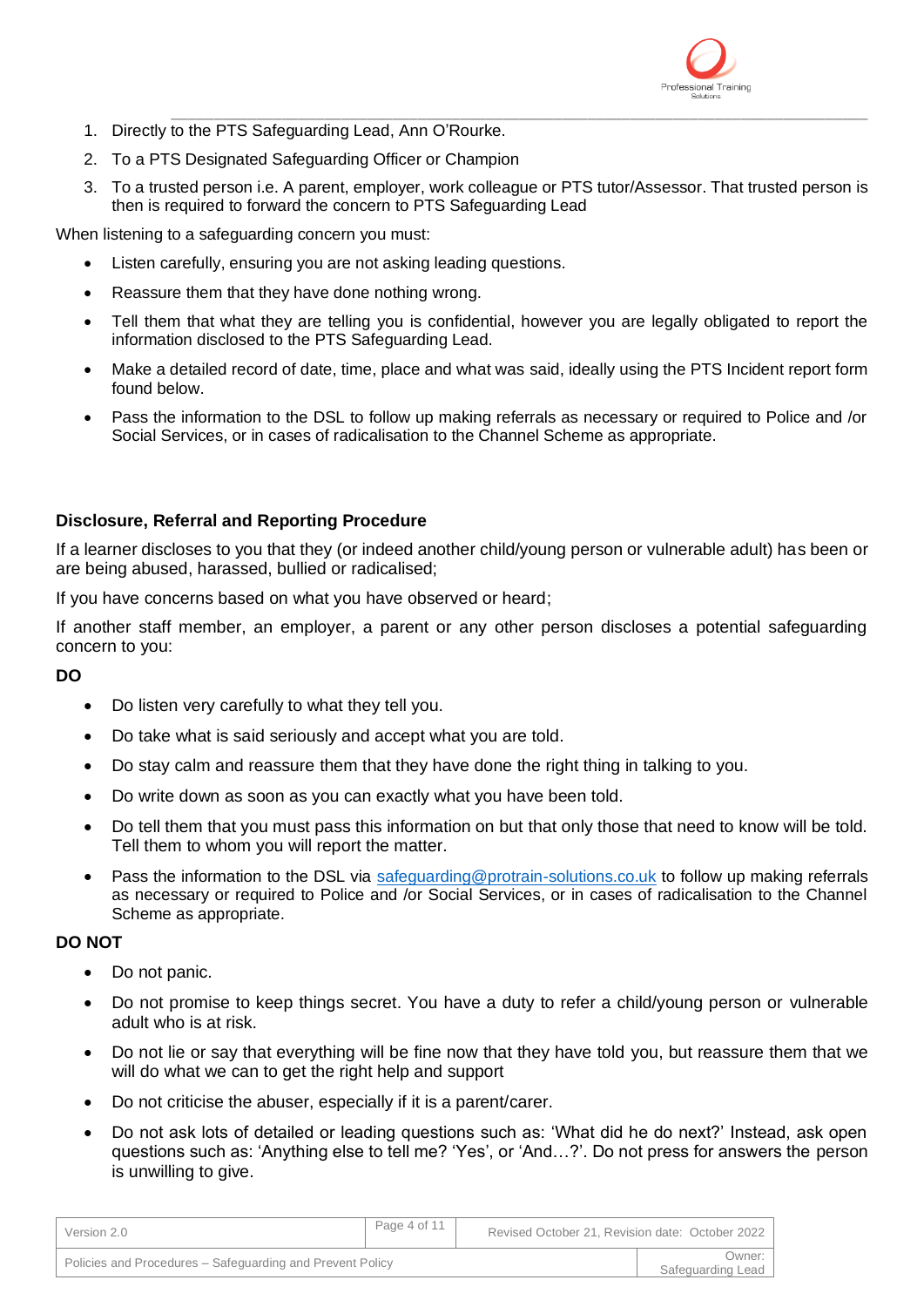

- \_\_\_\_\_\_\_\_\_\_\_\_\_\_\_\_\_\_\_\_\_\_\_\_\_\_\_\_\_\_\_\_\_\_\_\_\_\_\_\_\_\_\_\_\_\_\_\_\_\_\_\_\_\_\_\_\_\_\_\_\_\_\_\_\_\_\_\_\_\_\_\_\_\_\_\_\_\_\_\_\_\_ 1. Directly to the PTS Safeguarding Lead, Ann O'Rourke.
- 2. To a PTS Designated Safeguarding Officer or Champion
- 3. To a trusted person i.e. A parent, employer, work colleague or PTS tutor/Assessor. That trusted person is then is required to forward the concern to PTS Safeguarding Lead

When listening to a safeguarding concern you must:

- Listen carefully, ensuring you are not asking leading questions.
- Reassure them that they have done nothing wrong.
- Tell them that what they are telling you is confidential, however you are legally obligated to report the information disclosed to the PTS Safeguarding Lead.
- Make a detailed record of date, time, place and what was said, ideally using the PTS Incident report form found below.
- Pass the information to the DSL to follow up making referrals as necessary or required to Police and /or Social Services, or in cases of radicalisation to the Channel Scheme as appropriate.

# **Disclosure, Referral and Reporting Procedure**

If a learner discloses to you that they (or indeed another child/young person or vulnerable adult) has been or are being abused, harassed, bullied or radicalised;

If you have concerns based on what you have observed or heard;

If another staff member, an employer, a parent or any other person discloses a potential safeguarding concern to you:

**DO**

- Do listen very carefully to what they tell you.
- Do take what is said seriously and accept what you are told.
- Do stay calm and reassure them that they have done the right thing in talking to you.
- Do write down as soon as you can exactly what you have been told.
- Do tell them that you must pass this information on but that only those that need to know will be told. Tell them to whom you will report the matter.
- Pass the information to the DSL via [safeguarding@protrain-solutions.co.uk](mailto:safeguarding@protrain-solutions.co.uk) to follow up making referrals as necessary or required to Police and /or Social Services, or in cases of radicalisation to the Channel Scheme as appropriate.

# **DO NOT**

- Do not panic.
- Do not promise to keep things secret. You have a duty to refer a child/young person or vulnerable adult who is at risk.
- Do not lie or say that everything will be fine now that they have told you, but reassure them that we will do what we can to get the right help and support
- Do not criticise the abuser, especially if it is a parent/carer.
- Do not ask lots of detailed or leading questions such as: 'What did he do next?' Instead, ask open questions such as: 'Anything else to tell me? 'Yes', or 'And…?'. Do not press for answers the person is unwilling to give.

| Version 2.0                                               | Page 4 of 11 | Revised October 21, Revision date: October 2022 |                               |
|-----------------------------------------------------------|--------------|-------------------------------------------------|-------------------------------|
| Policies and Procedures – Safeguarding and Prevent Policy |              |                                                 | Owner: I<br>Safeguarding Lead |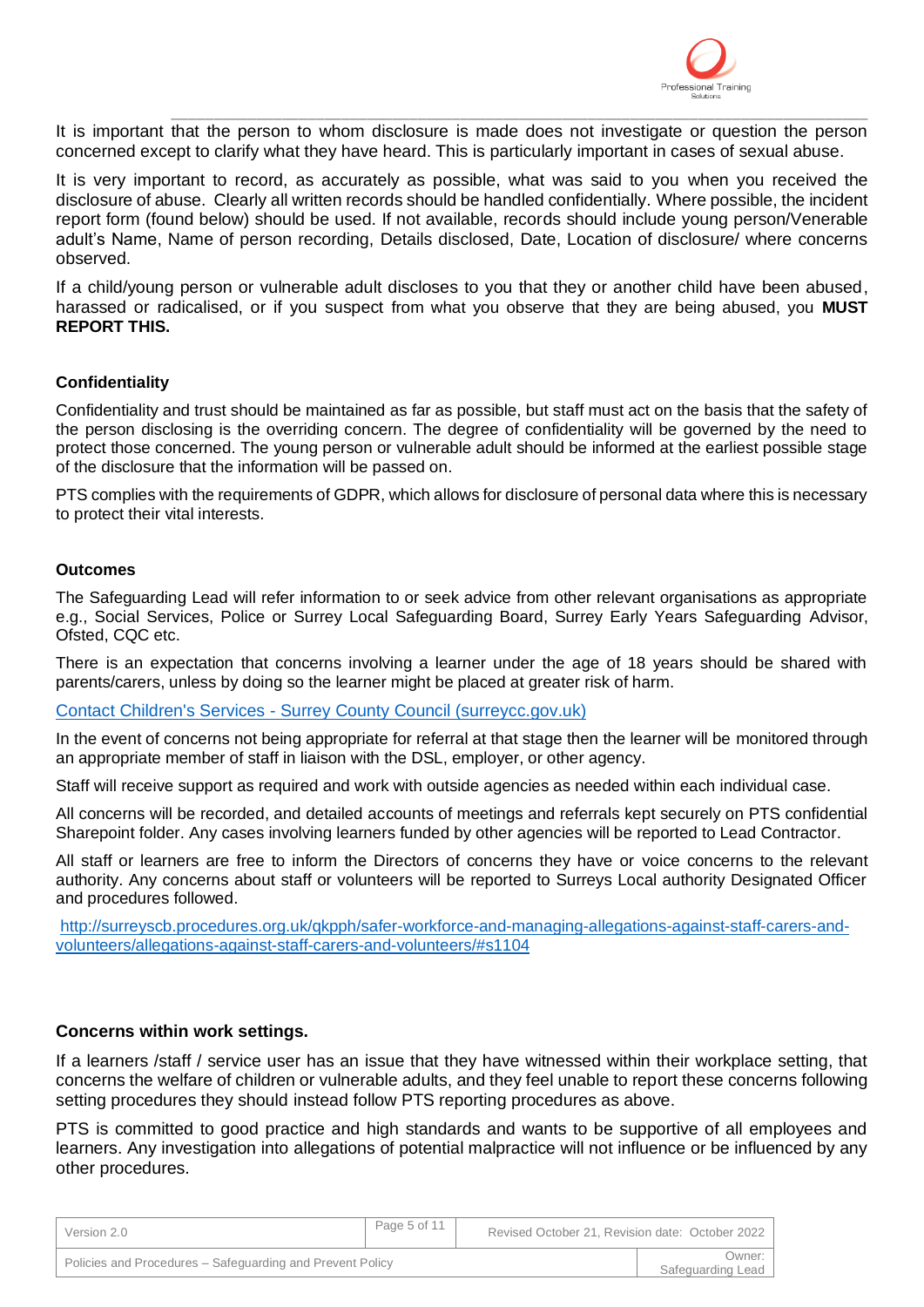

\_\_\_\_\_\_\_\_\_\_\_\_\_\_\_\_\_\_\_\_\_\_\_\_\_\_\_\_\_\_\_\_\_\_\_\_\_\_\_\_\_\_\_\_\_\_\_\_\_\_\_\_\_\_\_\_\_\_\_\_\_\_\_\_\_\_\_\_\_\_\_\_\_\_\_\_\_\_\_\_\_\_ It is important that the person to whom disclosure is made does not investigate or question the person concerned except to clarify what they have heard. This is particularly important in cases of sexual abuse.

It is very important to record, as accurately as possible, what was said to you when you received the disclosure of abuse. Clearly all written records should be handled confidentially. Where possible, the incident report form (found below) should be used. If not available, records should include young person/Venerable adult's Name, Name of person recording, Details disclosed, Date, Location of disclosure/ where concerns observed.

If a child/young person or vulnerable adult discloses to you that they or another child have been abused, harassed or radicalised, or if you suspect from what you observe that they are being abused, you **MUST REPORT THIS.** 

## **Confidentiality**

Confidentiality and trust should be maintained as far as possible, but staff must act on the basis that the safety of the person disclosing is the overriding concern. The degree of confidentiality will be governed by the need to protect those concerned. The young person or vulnerable adult should be informed at the earliest possible stage of the disclosure that the information will be passed on.

PTS complies with the requirements of GDPR, which allows for disclosure of personal data where this is necessary to protect their vital interests.

#### **Outcomes**

The Safeguarding Lead will refer information to or seek advice from other relevant organisations as appropriate e.g., Social Services, Police or Surrey Local Safeguarding Board, Surrey Early Years Safeguarding Advisor, Ofsted, CQC etc.

There is an expectation that concerns involving a learner under the age of 18 years should be shared with parents/carers, unless by doing so the learner might be placed at greater risk of harm.

#### Contact Children's Services - [Surrey County Council \(surreycc.gov.uk\)](https://www.surreycc.gov.uk/social-care-and-health/childrens-social-care/contact-childrens-services)

In the event of concerns not being appropriate for referral at that stage then the learner will be monitored through an appropriate member of staff in liaison with the DSL, employer, or other agency.

Staff will receive support as required and work with outside agencies as needed within each individual case.

All concerns will be recorded, and detailed accounts of meetings and referrals kept securely on PTS confidential Sharepoint folder. Any cases involving learners funded by other agencies will be reported to Lead Contractor.

All staff or learners are free to inform the Directors of concerns they have or voice concerns to the relevant authority. Any concerns about staff or volunteers will be reported to Surreys Local authority Designated Officer and procedures followed.

[http://surreyscb.procedures.org.uk/qkpph/safer-workforce-and-managing-allegations-against-staff-carers-and](http://surreyscb.procedures.org.uk/qkpph/safer-workforce-and-managing-allegations-against-staff-carers-and-volunteers/allegations-against-staff-carers-and-volunteers/#s1104)[volunteers/allegations-against-staff-carers-and-volunteers/#s1104](http://surreyscb.procedures.org.uk/qkpph/safer-workforce-and-managing-allegations-against-staff-carers-and-volunteers/allegations-against-staff-carers-and-volunteers/#s1104)

## **Concerns within work settings.**

If a learners /staff / service user has an issue that they have witnessed within their workplace setting, that concerns the welfare of children or vulnerable adults, and they feel unable to report these concerns following setting procedures they should instead follow PTS reporting procedures as above.

PTS is committed to good practice and high standards and wants to be supportive of all employees and learners. Any investigation into allegations of potential malpractice will not influence or be influenced by any other procedures.

| Version 2.0                                               | Page 5 of 11 | Revised October 21, Revision date: October 2022 |                             |
|-----------------------------------------------------------|--------------|-------------------------------------------------|-----------------------------|
| Policies and Procedures – Safeguarding and Prevent Policy |              |                                                 | Owner:<br>Safeguarding Lead |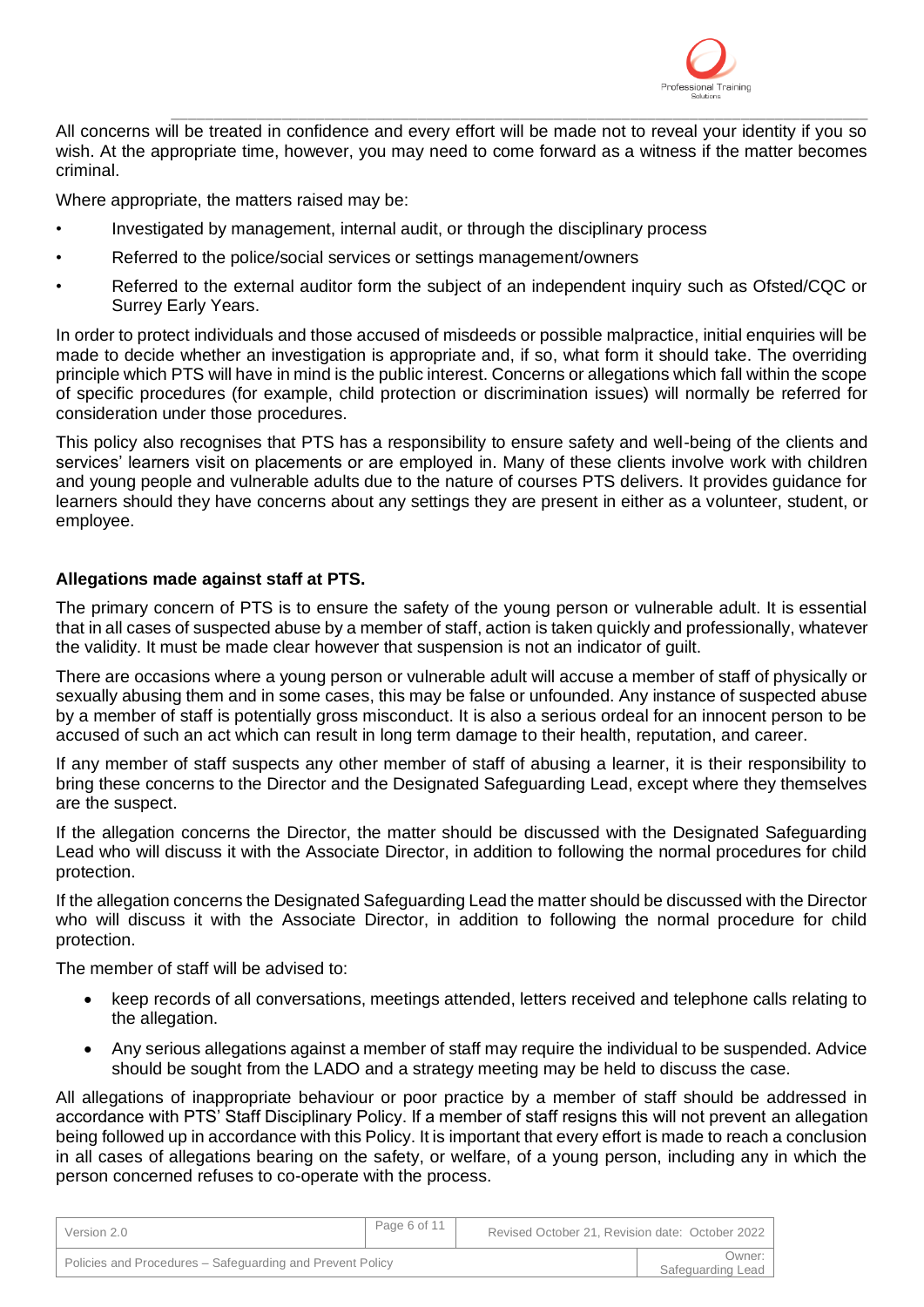

\_\_\_\_\_\_\_\_\_\_\_\_\_\_\_\_\_\_\_\_\_\_\_\_\_\_\_\_\_\_\_\_\_\_\_\_\_\_\_\_\_\_\_\_\_\_\_\_\_\_\_\_\_\_\_\_\_\_\_\_\_\_\_\_\_\_\_\_\_\_\_\_\_\_\_\_\_\_\_\_\_\_ All concerns will be treated in confidence and every effort will be made not to reveal your identity if you so wish. At the appropriate time, however, you may need to come forward as a witness if the matter becomes criminal.

Where appropriate, the matters raised may be:

- Investigated by management, internal audit, or through the disciplinary process
- Referred to the police/social services or settings management/owners
- Referred to the external auditor form the subject of an independent inquiry such as Ofsted/CQC or Surrey Early Years.

In order to protect individuals and those accused of misdeeds or possible malpractice, initial enquiries will be made to decide whether an investigation is appropriate and, if so, what form it should take. The overriding principle which PTS will have in mind is the public interest. Concerns or allegations which fall within the scope of specific procedures (for example, child protection or discrimination issues) will normally be referred for consideration under those procedures.

This policy also recognises that PTS has a responsibility to ensure safety and well-being of the clients and services' learners visit on placements or are employed in. Many of these clients involve work with children and young people and vulnerable adults due to the nature of courses PTS delivers. It provides guidance for learners should they have concerns about any settings they are present in either as a volunteer, student, or employee.

## **Allegations made against staff at PTS.**

The primary concern of PTS is to ensure the safety of the young person or vulnerable adult. It is essential that in all cases of suspected abuse by a member of staff, action is taken quickly and professionally, whatever the validity. It must be made clear however that suspension is not an indicator of guilt.

There are occasions where a young person or vulnerable adult will accuse a member of staff of physically or sexually abusing them and in some cases, this may be false or unfounded. Any instance of suspected abuse by a member of staff is potentially gross misconduct. It is also a serious ordeal for an innocent person to be accused of such an act which can result in long term damage to their health, reputation, and career.

If any member of staff suspects any other member of staff of abusing a learner, it is their responsibility to bring these concerns to the Director and the Designated Safeguarding Lead, except where they themselves are the suspect.

If the allegation concerns the Director, the matter should be discussed with the Designated Safeguarding Lead who will discuss it with the Associate Director, in addition to following the normal procedures for child protection.

If the allegation concerns the Designated Safeguarding Lead the matter should be discussed with the Director who will discuss it with the Associate Director, in addition to following the normal procedure for child protection.

The member of staff will be advised to:

- keep records of all conversations, meetings attended, letters received and telephone calls relating to the allegation.
- Any serious allegations against a member of staff may require the individual to be suspended. Advice should be sought from the LADO and a strategy meeting may be held to discuss the case.

All allegations of inappropriate behaviour or poor practice by a member of staff should be addressed in accordance with PTS' Staff Disciplinary Policy. If a member of staff resigns this will not prevent an allegation being followed up in accordance with this Policy. It is important that every effort is made to reach a conclusion in all cases of allegations bearing on the safety, or welfare, of a young person, including any in which the person concerned refuses to co-operate with the process.

| Version 2.0                                               | Page 6 of 11 | Revised October 21, Revision date: October 2022 |                               |
|-----------------------------------------------------------|--------------|-------------------------------------------------|-------------------------------|
| Policies and Procedures – Safeguarding and Prevent Policy |              |                                                 | Owner: I<br>Safeguarding Lead |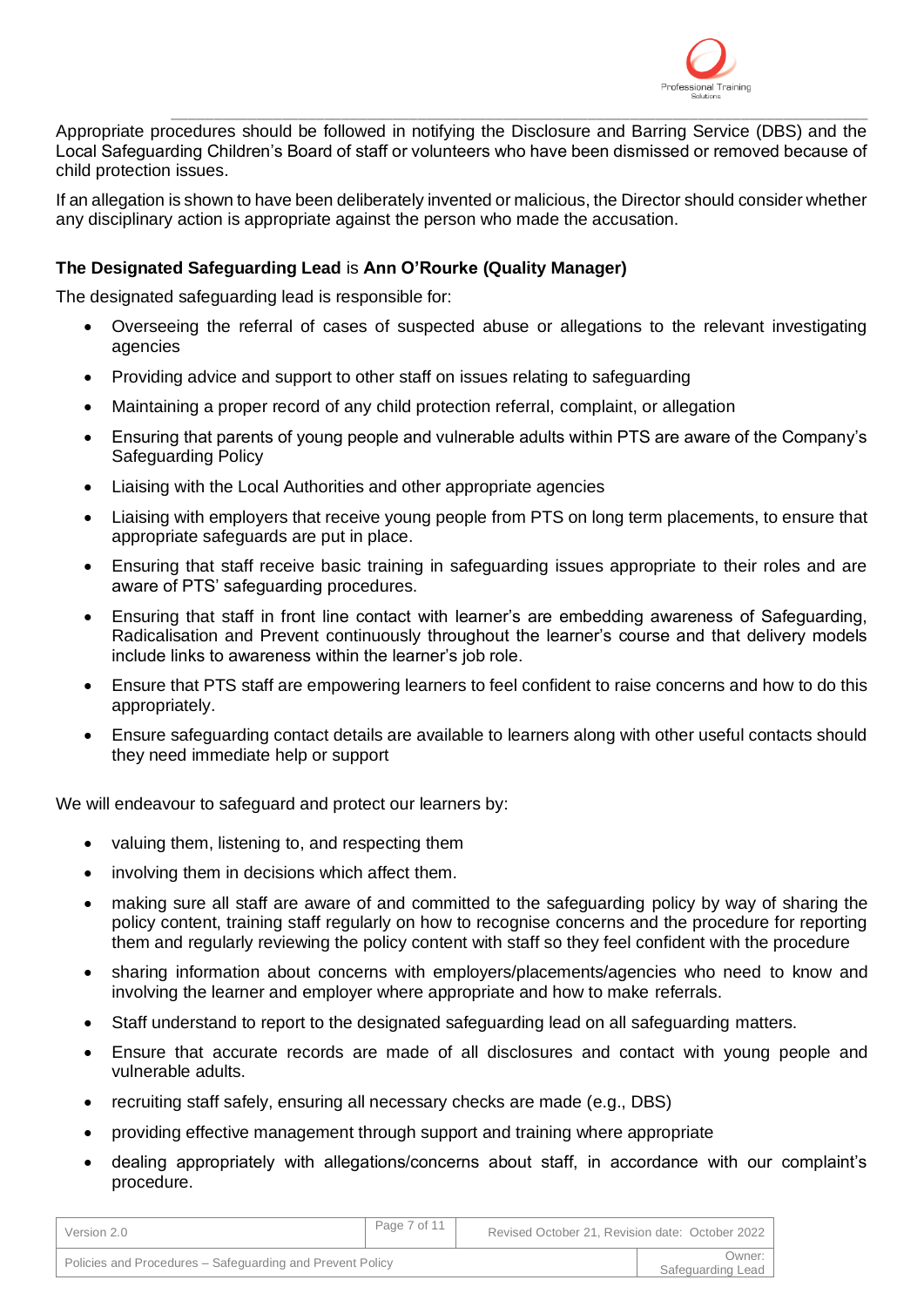

\_\_\_\_\_\_\_\_\_\_\_\_\_\_\_\_\_\_\_\_\_\_\_\_\_\_\_\_\_\_\_\_\_\_\_\_\_\_\_\_\_\_\_\_\_\_\_\_\_\_\_\_\_\_\_\_\_\_\_\_\_\_\_\_\_\_\_\_\_\_\_\_\_\_\_\_\_\_\_\_\_\_ Appropriate procedures should be followed in notifying the Disclosure and Barring Service (DBS) and the Local Safeguarding Children's Board of staff or volunteers who have been dismissed or removed because of child protection issues.

If an allegation is shown to have been deliberately invented or malicious, the Director should consider whether any disciplinary action is appropriate against the person who made the accusation.

# **The Designated Safeguarding Lead** is **Ann O'Rourke (Quality Manager)**

The designated safeguarding lead is responsible for:

- Overseeing the referral of cases of suspected abuse or allegations to the relevant investigating agencies
- Providing advice and support to other staff on issues relating to safeguarding
- Maintaining a proper record of any child protection referral, complaint, or allegation
- Ensuring that parents of young people and vulnerable adults within PTS are aware of the Company's Safeguarding Policy
- Liaising with the Local Authorities and other appropriate agencies
- Liaising with employers that receive young people from PTS on long term placements, to ensure that appropriate safeguards are put in place.
- Ensuring that staff receive basic training in safeguarding issues appropriate to their roles and are aware of PTS' safeguarding procedures.
- Ensuring that staff in front line contact with learner's are embedding awareness of Safeguarding, Radicalisation and Prevent continuously throughout the learner's course and that delivery models include links to awareness within the learner's job role.
- Ensure that PTS staff are empowering learners to feel confident to raise concerns and how to do this appropriately.
- Ensure safeguarding contact details are available to learners along with other useful contacts should they need immediate help or support

We will endeavour to safeguard and protect our learners by:

- valuing them, listening to, and respecting them
- involving them in decisions which affect them.
- making sure all staff are aware of and committed to the safeguarding policy by way of sharing the policy content, training staff regularly on how to recognise concerns and the procedure for reporting them and regularly reviewing the policy content with staff so they feel confident with the procedure
- sharing information about concerns with employers/placements/agencies who need to know and involving the learner and employer where appropriate and how to make referrals.
- Staff understand to report to the designated safeguarding lead on all safeguarding matters.
- Ensure that accurate records are made of all disclosures and contact with young people and vulnerable adults.
- recruiting staff safely, ensuring all necessary checks are made (e.g., DBS)
- providing effective management through support and training where appropriate
- dealing appropriately with allegations/concerns about staff, in accordance with our complaint's procedure.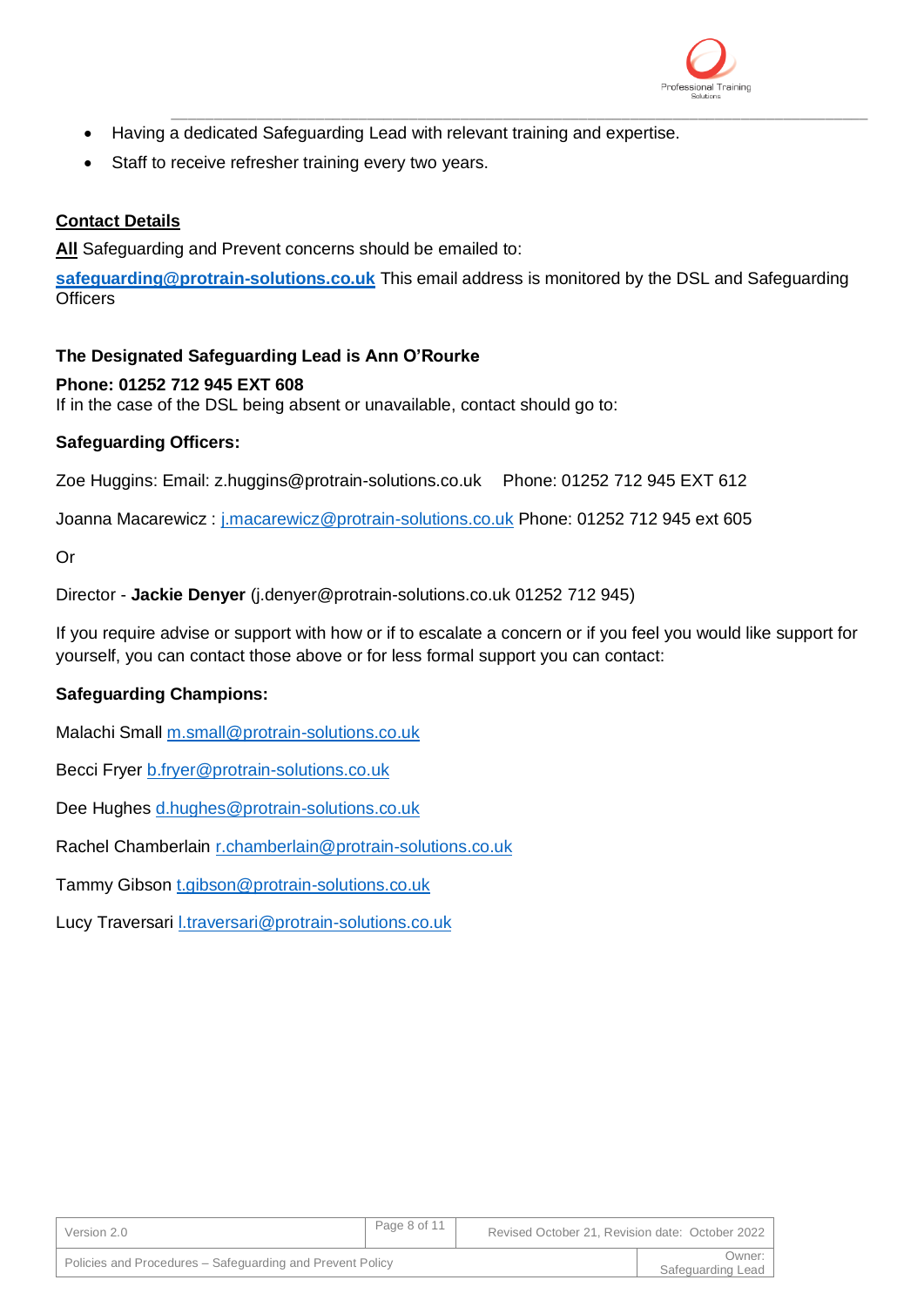

- \_\_\_\_\_\_\_\_\_\_\_\_\_\_\_\_\_\_\_\_\_\_\_\_\_\_\_\_\_\_\_\_\_\_\_\_\_\_\_\_\_\_\_\_\_\_\_\_\_\_\_\_\_\_\_\_\_\_\_\_\_\_\_\_\_\_\_\_\_\_\_\_\_\_\_\_\_\_\_\_\_\_ • Having a dedicated Safeguarding Lead with relevant training and expertise.
- Staff to receive refresher training every two years.

# **Contact Details**

**All** Safeguarding and Prevent concerns should be emailed to:

**[safeguarding@protrain-solutions.co.uk](mailto:safeguarding@protrain-solutions.co.uk)** This email address is monitored by the DSL and Safeguarding **Officers** 

# **The Designated Safeguarding Lead is Ann O'Rourke**

# **Phone: 01252 712 945 EXT 608**

If in the case of the DSL being absent or unavailable, contact should go to:

# **Safeguarding Officers:**

Zoe Huggins: Email: z.huggins@protrain-solutions.co.uk Phone: 01252 712 945 EXT 612

Joanna Macarewicz : [j.macarewicz@protrain-solutions.co.uk](mailto:j.macarewicz@protrain-solutions.co.uk) Phone: 01252 712 945 ext 605

Or

Director - **Jackie Denyer** (j.denyer@protrain-solutions.co.uk 01252 712 945)

If you require advise or support with how or if to escalate a concern or if you feel you would like support for yourself, you can contact those above or for less formal support you can contact:

# **Safeguarding Champions:**

Malachi Small [m.small@protrain-solutions.co.uk](mailto:m.small@protrain-solutions.co.uk)

Becci Fryer [b.fryer@protrain-solutions.co.uk](mailto:b.fryer@protrain-solutions.co.uk)

Dee Hughes [d.hughes@protrain-solutions.co.uk](mailto:d.hughes@protrain-solutions.co.uk)

Rachel Chamberlain [r.chamberlain@protrain-solutions.co.uk](mailto:r.chamberlain@protrain-solutions.co.uk)

Tammy Gibson [t.gibson@protrain-solutions.co.uk](mailto:t.gibson@protrain-solutions.co.uk)

Lucy Traversari [l.traversari@protrain-solutions.co.uk](mailto:l.traversari@protrain-solutions.co.uk)

| Version 2.0                                               | Page 8 of 11 | Revised October 21, Revision date: October 2022 |                             |
|-----------------------------------------------------------|--------------|-------------------------------------------------|-----------------------------|
| Policies and Procedures – Safeguarding and Prevent Policy |              |                                                 | Dwner:<br>Safeguarding Lead |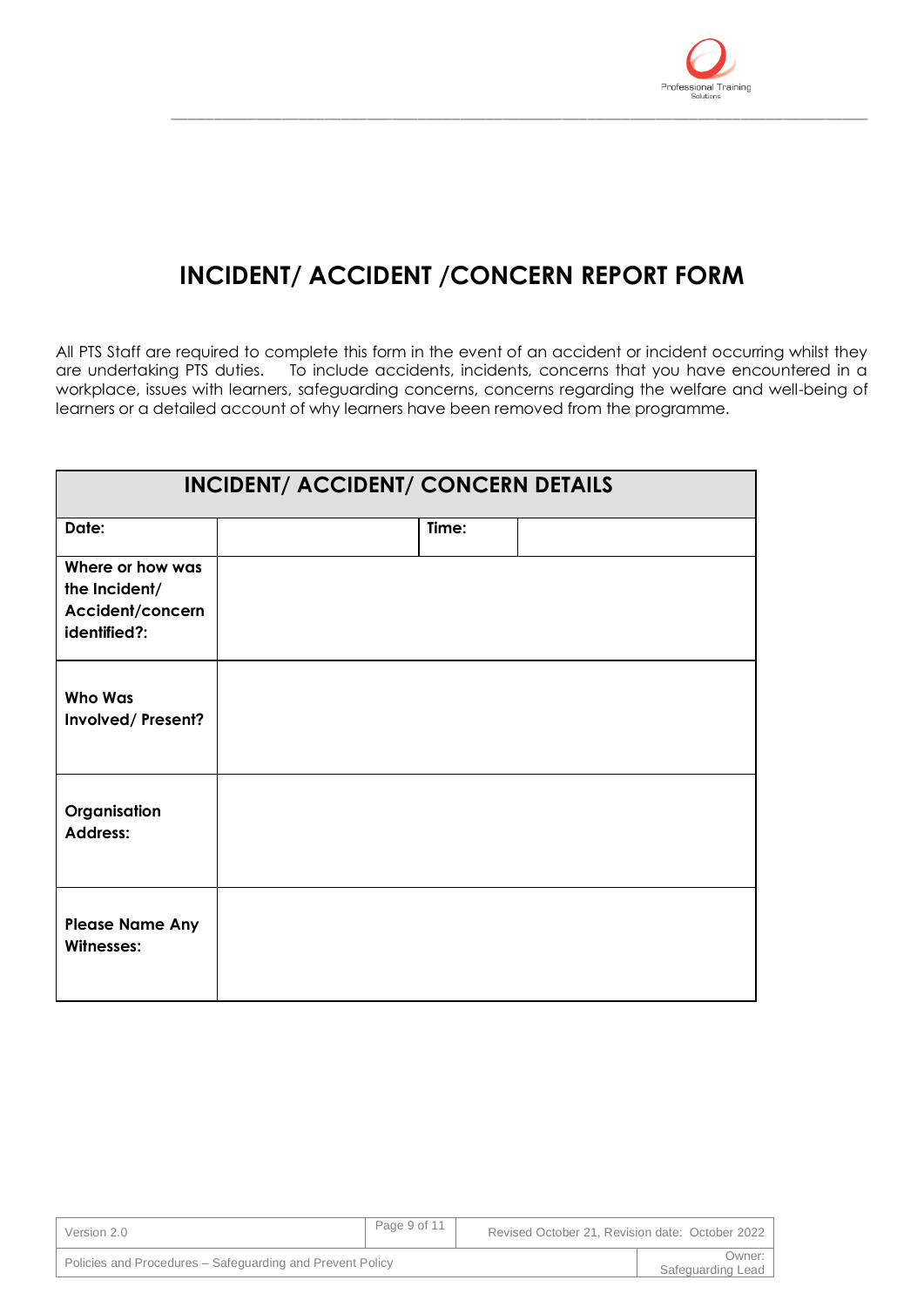

# **INCIDENT/ ACCIDENT /CONCERN REPORT FORM**

\_\_\_\_\_\_\_\_\_\_\_\_\_\_\_\_\_\_\_\_\_\_\_\_\_\_\_\_\_\_\_\_\_\_\_\_\_\_\_\_\_\_\_\_\_\_\_\_\_\_\_\_\_\_\_\_\_\_\_\_\_\_\_\_\_\_\_\_\_\_\_\_\_\_\_\_\_\_\_\_\_\_

All PTS Staff are required to complete this form in the event of an accident or incident occurring whilst they are undertaking PTS duties. To include accidents, incidents, concerns that you have encountered in a workplace, issues with learners, safeguarding concerns, concerns regarding the welfare and well-being of learners or a detailed account of why learners have been removed from the programme.

|                                                                       | <b>INCIDENT/ ACCIDENT/ CONCERN DETAILS</b> |       |  |
|-----------------------------------------------------------------------|--------------------------------------------|-------|--|
| Date:                                                                 |                                            | Time: |  |
| Where or how was<br>the Incident/<br>Accident/concern<br>identified?: |                                            |       |  |
| <b>Who Was</b><br>Involved/Present?                                   |                                            |       |  |
| Organisation<br><b>Address:</b>                                       |                                            |       |  |
| <b>Please Name Any</b><br>Witnesses:                                  |                                            |       |  |

| Version 2.0                                               | Page 9 of 11 | Revised October 21, Revision date: October 2022 |                             |
|-----------------------------------------------------------|--------------|-------------------------------------------------|-----------------------------|
| Policies and Procedures – Safeguarding and Prevent Policy |              |                                                 | Owner:<br>Safeguarding Lead |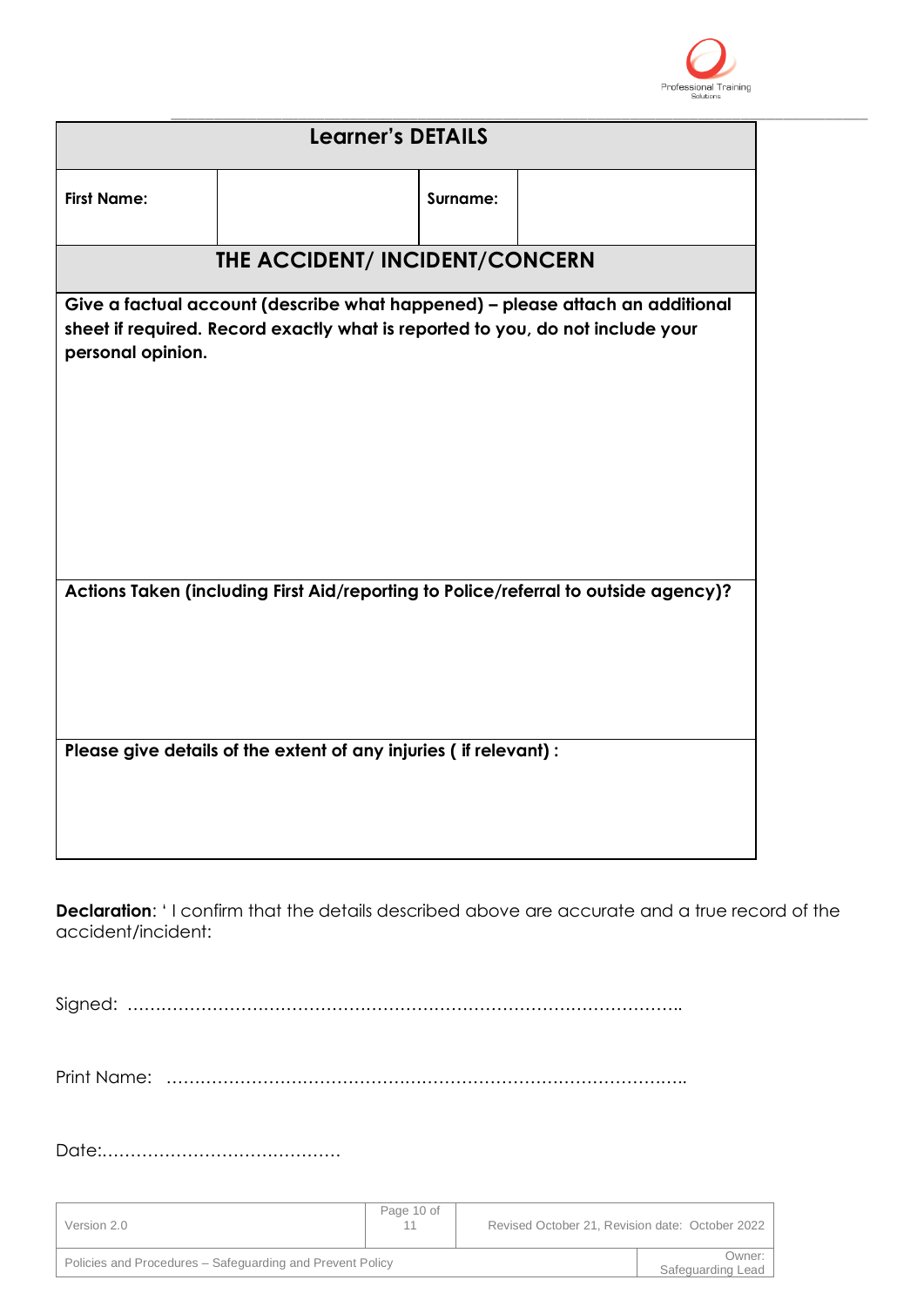

|                                                                                                                                                                                      | <b>Learner's DETAILS</b>                                         |          |                                                                                     |
|--------------------------------------------------------------------------------------------------------------------------------------------------------------------------------------|------------------------------------------------------------------|----------|-------------------------------------------------------------------------------------|
| <b>First Name:</b>                                                                                                                                                                   |                                                                  | Surname: |                                                                                     |
|                                                                                                                                                                                      | THE ACCIDENT/ INCIDENT/CONCERN                                   |          |                                                                                     |
| Give a factual account (describe what happened) - please attach an additional<br>sheet if required. Record exactly what is reported to you, do not include your<br>personal opinion. |                                                                  |          |                                                                                     |
|                                                                                                                                                                                      |                                                                  |          | Actions Taken (including First Aid/reporting to Police/referral to outside agency)? |
|                                                                                                                                                                                      | Please give details of the extent of any injuries (if relevant): |          |                                                                                     |

**Declaration:** 'I confirm that the details described above are accurate and a true record of the accident/incident:

Signed: ……………………………………………………………………………………..

Print Name: ………………………………………………………………………………..

Date:……………………………………

| Version 2.0                                               | Page 10 of | Revised October 21, Revision date: October 2022 |                             |
|-----------------------------------------------------------|------------|-------------------------------------------------|-----------------------------|
| Policies and Procedures – Safeguarding and Prevent Policy |            |                                                 | Owner:<br>Safeguarding Lead |